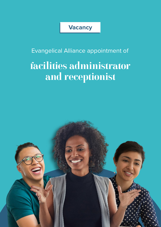### **Vacancy**

Evangelical Alliance appointment of

# facilities administrator and receptionist

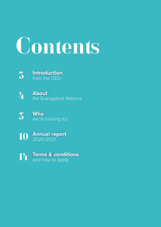# Contents



4 **About** the Evangelical Alliance



10 **Annual report** 2020-2021

14 **Terms & conditions** and how to apply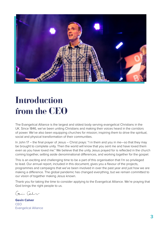

# Introduction from the CEO

The Evangelical Alliance is the largest and oldest body serving evangelical Christians in the UK. Since 1846, we've been uniting Christians and making their voices heard in the corridors of power. We've also been equipping churches for mission; inspiring them to drive the spiritual, social and physical transformation of their communities.

In John 17 – the final prayer of Jesus – Christ prays: "I in them and you in me—so that they may be brought to complete unity. Then the world will know that you sent me and have loved them even as you have loved me." We believe that the unity Jesus prayed for is reflected in the church coming together, setting aside denominational differences, and working together for the gospel.

This is an exciting and challenging time to be a part of this organisation that I'm so privileged to lead. Our annual report, included in this document, gives you a flavour of the projects, programmes and campaigns that we've been involved in over the past year and just how we are making a difference. The global pandemic has changed everything, but we remain committed to our vision of together making Jesus known.

Thank you for taking the time to consider applying to the Evangelical Alliance. We're praying that God brings the right people to us.

Conin Cala

**Gavin Calver** CEO Evangelical Alliance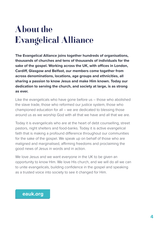# About the Evangelical Alliance

**The Evangelical Alliance joins together hundreds of organisations, thousands of churches and tens of thousands of individuals for the sake of the gospel. Working across the UK, with offices in London, Cardiff, Glasgow and Belfast, our members come together from across denominations, locations, age groups and ethnicities, all sharing a passion to know Jesus and make Him known. Today our dedication to serving the church, and society at large, is as strong as ever.**

Like the evangelicals who have gone before us – those who abolished the slave trade, those who reformed our justice system, those who championed education for all – we are dedicated to blessing those around us as we worship God with all that we have and all that we are.

Today it is evangelicals who are at the heart of debt counselling, street pastors, night shelters and food-banks. Today it is active evangelical faith that is making a profound difference throughout our communities for the sake of the gospel. We speak up on behalf of those who are maligned and marginalised, affirming freedoms and proclaiming the good news of Jesus in words and in action.

We love Jesus and we want everyone in the UK to be given an opportunity to know Him. We love His church, and we will do all we can to unite evangelicals, building confidence in the gospel and speaking as a trusted voice into society to see it changed for Him.

### **eauk.org**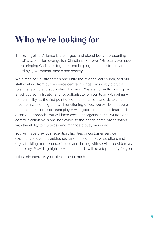# Who we're looking for

The Evangelical Alliance is the largest and oldest body representing the UK's two million evangelical Christians. For over 175 years, we have been bringing Christians together and helping them to listen to, and be heard by, government, media and society.

We aim to serve, strengthen and unite the evangelical church, and our staff working from our resource centre in Kings Cross play a crucial role in enabling and supporting that work. We are currently looking for a facilities administrator and receptionist to join our team with primary responsibility, as the first point of contact for callers and visitors, to provide a welcoming and well-functioning office. You will be a people person, an enthusiastic team player with good attention to detail and a can-do approach. You will have excellent organisational, written and communication skills and be flexible to the needs of the organisation with the ability to multi-task and manage a busy workload.

You will have previous reception, facilities or customer service experience, love to troubleshoot and think of creative solutions and enjoy tackling maintenance issues and liaising with service providers as necessary. Providing high service standards will be a top priority for you.

If this role interests you, please be in touch.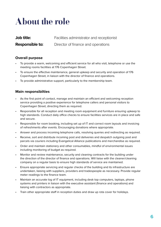# About the role

| <b>Job title:</b> | Facilities administrator and receptionist |
|-------------------|-------------------------------------------|
| Responsible to:   | Director of finance and operations        |

#### **Overall purpose**

- To provide a warm, welcoming and efficient service for all who visit, telephone or use the meeting rooms facilities at 176 Copenhagen Street.
- To ensure the effective maintenance, general upkeep and security and operation of 176 Copenhagen Street, in liaison with the director of finance and operations.
- To provide administrative support, particularly to the membership team.

#### **Main responsibilties**

- As the first point of contact, manage and maintain an efficient and welcoming reception service providing a positive experience for telephone callers and personal visitors to Copenhagen Street, directing them as required.
- Responsible for all reception and meeting room equipment and furniture ensuring upkeep to high standards. Conduct daily office checks to ensure facilities services are in place and safe and secure.
- Responsible for room booking, including set up of IT and correct room layouts and invoicing of refreshments after events. Encouraging donations where appropriate.
- Answer and process incoming telephone calls, resolving queries and redirecting as required.
- Receive, sort and distribute incoming post and deliveries and despatch outgoing post and parcels via couriers including Evangelical Alliance publications and merchandise as required.
- Order and maintain stationery and other consumables, mindful of environmental issues including monitoring of budget as required.
- Monitor and review maintenance, security and cleaning contracts for the building under the direction of the director of finance and operations. Will liaise with the cleaner/cleaning company on a regular basis to ensure high standards of service are maintained.
- Ensure appropriate servicing and regular checks of the building and its infrastructure are undertaken, liaising with suppliers, providers and tradespeople as necessary. Provide regular meter readings to the finance team.
- Maintain an accurate log of IT equipment, including desk top computers, laptops, phone systems and printers in liaison with the executive assistant (finance and operations) and liaising with contractors as appropriate.
- Train other appropriate staff in reception duties and draw up rota cover for holidays.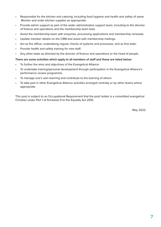- Responsible for the kitchen and catering, including food hygiene and health and safety of same. Monitor and order kitchen supplies as appropriate.
- Provide admin support as part of the wider administrative support team, including to the director of finance and operations and the membership team lead.
- Assist the membership team with enquiries, processing applications and membership renewals.
- Update member details on the CRM and assist with membership mailings.
- Act as fire officer, undertaking regular checks of systems and processes, and as first aider.
- Provide health and safety training for new staff.
- Any other tasks as directed by the director of finance and operations or the head of people.

#### **There are some activities which apply to all members of staff and these are listed below:**

- To further the aims and objectives of the Evangelical Alliance
- To undertake training/personal development through participation in the Evangelical Alliance's performance review programme
- To manage one's own learning and contribute to the learning of others
- To take part in other Evangelical Alliance activities arranged centrally or by other teams where appropriate

This post is subject to an Occupational Requirement that the post holder is a committed evangelical Christian under Part 1 of Schedule 9 to the Equality Act 2010.

May 2022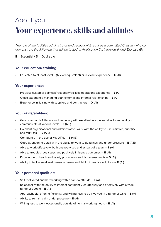### About you Your experience, skills and abilities

*The role of the facilities administrator and receptionist requires a committed Christian who can demonstrate the following that will be tested at Application (A), Interview (I) and Exercise (E):*

#### **E** = Essential **/ D** = Desirable

#### **Your education/ training:**

• Educated to at least level 3 (A level equivalent) or relevant experience – **E** (AI)

#### **Your experience:**

- Previous customer services/reception/facilities operations experience **E** (AI)
- Office experience managing both external and internal relationships **E** (AI)
- Experience in liaising with suppliers and contractors **D** (AI)

#### **Your skills/abilities:**

- Good standard of literacy and numeracy with excellent interpersonal skills and ability to communicate at various levels – **E** (AIE)
- Excellent organisational and administrative skills, with the ability to use initiative, prioritise and multi-task – **E** (AIE)
- Confidence in the use of MS Office **E** (AIE)
- Good attention to detail with the ability to work to deadlines and under pressure **E** (AIE)
- Able to work effectively, both unsupervised and as part of a team **E** (AI)
- Able to troubleshoot issues and positively influence outcomes **E** (AI)
- Knowledge of health and safety procedures and risk assessments **D** (AI)
- Ability to tackle small maintenance issues and think of creative solutions **D** (AI)

#### **Your personal qualities:**

- Self-motivated and hardworking with a can-do attitude **E** (AI)
- Relational, with the ability to interact confidently, courteously and effectively with a wide range of people – **E** (AI)
- Approachable, offering flexibility and willingness to be involved in a range of tasks **E** (AI)
- Ability to remain calm under pressure **E** (AI)
- Willingness to work occasionally outside of normal working hours **E** (AI)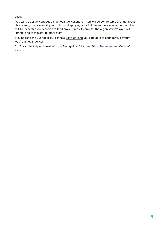Also:

You will be actively engaged in an evangelical church. You will be comfortable sharing about Jesus and your relationship with Him and applying your faith to your areas of expertise. You will be expected on occasion to lead prayer times, to pray for the organisation's work with others, and to minister to other staff.

Having read the Evangelical Alliance's [Basis of Faith](https://www.eauk.org/about-us/how-we-work/basis-of-faith) you'll be able to confidently say that you're an evangelical.

You'll also be fully on board with the Evangelical Alliance's Ethos Statement and Code of [Conduct.](https://www.eauk.org/jobs/ethos-statement-code-of-conduct)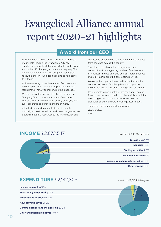# Evangelical Alliance annual report 2020–21 highlights

### **A word from our CEO**

It's been a year like no other. Less than six months into my role leading the Evangelical Alliance, I couldn't have imagined that a pandemic would sweep across the UK, changing so much in every way. With church buildings closed and people in such great need, the church found itself needing to reimagine its witness.

It's been amazing to see how many of our members have adapted and seized this opportunity to make Jesus known, however challenging the landscape.

We have sought to support the church through our Changing Church reports and suite of resources, regular contact with members, UK day of prayer, firstever leadership conference and much more.

In the last year, as the church strived to remain spiritually active in lockdown and share the gospel, we created innovative resources to facilitate mission and

showcased unparalleled stories of community impact from churches across the country.

The church has stepped up this year, serving communities in a staggering number of selfless acts of kindness, and we've made political representatives aware by highlighting this outstanding service.

We've spoken up as a brave and kind voice into the corridors of power. Our Being Human project has grown, inspiring all Christians to engage in our culture.

It's incredible to see what the Lord has done. Looking forward, we are keen to help with the social and spiritual rebuilding of the UK post-pandemic and to work alongside all our members in making Jesus known.

Thank you for your support and prayers,

**Gavin Calver** CEO

### **INCOME** £2,673,547 up from £2,640,451 last year

**Legacies** 5.7% **Donations** 88.3% **Other income** 3.0% **Trading activities** 2.6% **Investment income** 0.1% **Income from charitable activities** 0.2%

### **EXPENDITURE** £2,132,308 down from £2,615,919 last year

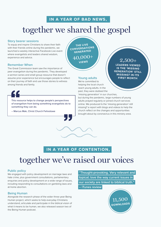### **IN A YEAR OF BAD NEWS,**

## together we shared the gospel

#### **Story bearer sessions**

To equip and inspire Christians to share their faith with their friends online during the pandemic, we launched a weekly interactive Facebook Live event where evangelists and leaders shared wisdom, experience and advice.

#### **Remember When**

The Great Commission team saw the importance of peer evangelism during the pandemic. They developed a sermon series and small group resource that doesn't assume prior experience but encourages people to reflect on their journey of faith and use those stories to witness among friends and family.



This resource helps to change people's perspectives of evangelism from being something evangelists do to something they can do.

– Marcus Mak, Christ Church Felixstowe

**THE LIVE CONVERSATIONS GENERATED** 40,000+  $V = 2,500+$ 

#### **Young adults**

We're committed to helping the local church reach young adults. In the past, they were dubbed the

'missing generation' in our churches,

but during the pandemic, large numbers of young adults prayed regularly or joined church services online. We produced Is the 'missing generation' still missing? a report with blogs and videos to help the church reflect on the changes and opportunities brought about by coronavirus in this ministry area.

**LEADERS VIEWED IS THE 'MISSING GENERATION' STILL MISSING? IN ITS FIRST MONTH**



### **IN A YEAR OF CONTENTION,**

### together we've raised our voices

#### **Public policy**

We engaged with policy development on marriage laws and hate crime, plus government consultations, parliamentary enquiries and policy development on a wide range of issues, including responding to consultations on gambling laws and at-home abortion.

#### **Being Human**

Alongside the research phase of the wider three-year Being Human project, which seeks to help everyday Christians understand, articulate and participate in the biblical vision of what it means to be human, we also released season two of the Being Human podcast.

 **"Thought-provoking. Very relevant and topical; love the way current issues in our society are linked to biblical truth." – iTunes review** 

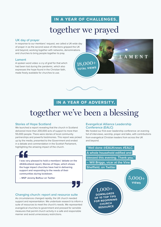### **IN A YEAR OF CHALLENGES,**

### together we prayed

#### **UK day of prayer**

In response to our members' request, we called a UK-wide day of prayer in as the second wave of infections gripped the UK and beyond, working together with networks, denominations and churches to bring people together to pray.

#### **Lament**

A spoken word video: a cry of grief for that which had been lost during the pandemic, which also expresses the hope found in the Christian faith, made freely available for churches to use.





### **IN A YEAR OF ADVERSITY,**

# together we've been a blessing

#### **Stories of Hope Scotland**

We launched a report revealing that the church in Scotland delivered more than 200,000 acts of support to more than 55,000 people. There were stories of local community partnerships and powerful testimonies. This report was picked up by the media, presented to the Government and ended in a debate and commendation in the Scottish Parliament, highlighting the amazing impact of the church.



I was very pleased to hold a members' debate on the @EAScotland report, Stories of Hope, which shows the huge impact churches have had in delivering support and responding to the needs of their communities during lockdown.

– MSP Jeremy Balfour on Twitter

#### **Changing church: report and resource suite**

As circumstances changed rapidly, the UK church needed support and representation. We undertook research to inform a suite of resources to meet the church's needs. We represented evangelical churches to government and pressed for sensible measures that permit church activity in a safe and responsible manner and avoid unnecessary restrictions.

#### **Evangelical Alliance Leadership Conference (EALC)**

We hosted our first-ever leadership conference: an evening full of interviews, worship, prayer and talks, with contributions from evangelical Christian leaders from across the UK and beyond.

 **"Well done @EAUKnews #EALC. A whole household edified and blessed this evening. Thank you." – Will Briggs, vicar at the Vine Sheffield, on Twitter**  5,000+

**VIEWS**

 $1,000+$ **DOWNLOADS OF 10 TOP TIPS FOR REOPENING CHURCH RESOURCE**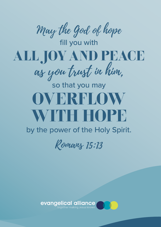May the God of hope



# so that you may OVERFLOW WITH HOPE

### by the power of the Holy Spirit.